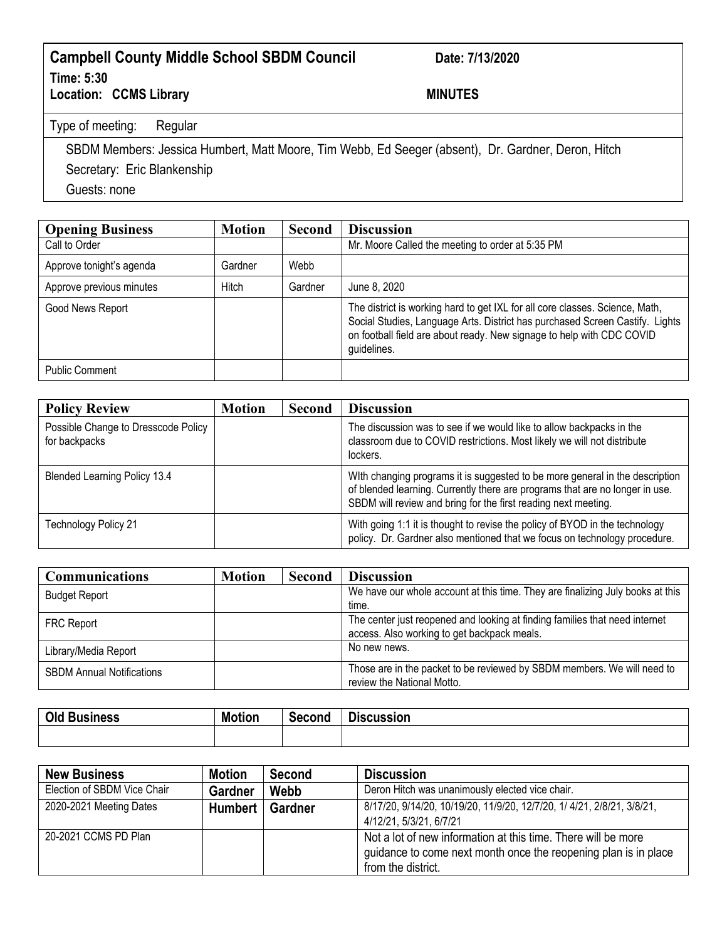## **Campbell County Middle School SBDM Council Date: 7/13/2020 Time: 5:30** Location: CCMS Library **MINUTES**

Type of meeting: Regular

SBDM Members: Jessica Humbert, Matt Moore, Tim Webb, Ed Seeger (absent), Dr. Gardner, Deron, Hitch Secretary: Eric Blankenship

Guests: none

| <b>Opening Business</b>  | <b>Motion</b> | Second  | <b>Discussion</b>                                                                                                                                                                                                                                    |
|--------------------------|---------------|---------|------------------------------------------------------------------------------------------------------------------------------------------------------------------------------------------------------------------------------------------------------|
| Call to Order            |               |         | Mr. Moore Called the meeting to order at 5:35 PM                                                                                                                                                                                                     |
| Approve tonight's agenda | Gardner       | Webb    |                                                                                                                                                                                                                                                      |
| Approve previous minutes | Hitch         | Gardner | June 8, 2020                                                                                                                                                                                                                                         |
| Good News Report         |               |         | The district is working hard to get IXL for all core classes. Science, Math,<br>Social Studies, Language Arts. District has purchased Screen Castify. Lights<br>on football field are about ready. New signage to help with CDC COVID<br>guidelines. |
| <b>Public Comment</b>    |               |         |                                                                                                                                                                                                                                                      |

| <b>Policy Review</b>                                 | <b>Motion</b> | <b>Second</b> | <b>Discussion</b>                                                                                                                                                                                                              |
|------------------------------------------------------|---------------|---------------|--------------------------------------------------------------------------------------------------------------------------------------------------------------------------------------------------------------------------------|
| Possible Change to Dresscode Policy<br>for backpacks |               |               | The discussion was to see if we would like to allow backpacks in the<br>classroom due to COVID restrictions. Most likely we will not distribute<br>lockers.                                                                    |
| <b>Blended Learning Policy 13.4</b>                  |               |               | With changing programs it is suggested to be more general in the description<br>of blended learning. Currently there are programs that are no longer in use.<br>SBDM will review and bring for the first reading next meeting. |
| <b>Technology Policy 21</b>                          |               |               | With going 1:1 it is thought to revise the policy of BYOD in the technology<br>policy. Dr. Gardner also mentioned that we focus on technology procedure.                                                                       |

| <b>Communications</b>            | <b>Motion</b> | <b>Second</b> | <b>Discussion</b>                                                                                                          |
|----------------------------------|---------------|---------------|----------------------------------------------------------------------------------------------------------------------------|
| <b>Budget Report</b>             |               |               | We have our whole account at this time. They are finalizing July books at this<br>time.                                    |
| <b>FRC Report</b>                |               |               | The center just reopened and looking at finding families that need internet<br>access. Also working to get backpack meals. |
| Library/Media Report             |               |               | No new news.                                                                                                               |
| <b>SBDM Annual Notifications</b> |               |               | Those are in the packet to be reviewed by SBDM members. We will need to<br>review the National Motto.                      |

| Old P<br><b>Business</b> | <b>Motion</b> | Second | --<br><b>Jiscussion</b> |
|--------------------------|---------------|--------|-------------------------|
|                          |               |        |                         |

| <b>New Business</b>         | <b>Motion</b>  | Second         | <b>Discussion</b>                                                                                                                                      |
|-----------------------------|----------------|----------------|--------------------------------------------------------------------------------------------------------------------------------------------------------|
| Election of SBDM Vice Chair | <b>Gardner</b> | Webb           | Deron Hitch was unanimously elected vice chair.                                                                                                        |
| 2020-2021 Meeting Dates     | <b>Humbert</b> | <b>Gardner</b> | 8/17/20, 9/14/20, 10/19/20, 11/9/20, 12/7/20, 1/ 4/21, 2/8/21, 3/8/21,<br>4/12/21, 5/3/21, 6/7/21                                                      |
| 20-2021 CCMS PD Plan        |                |                | Not a lot of new information at this time. There will be more<br>guidance to come next month once the reopening plan is in place<br>from the district. |